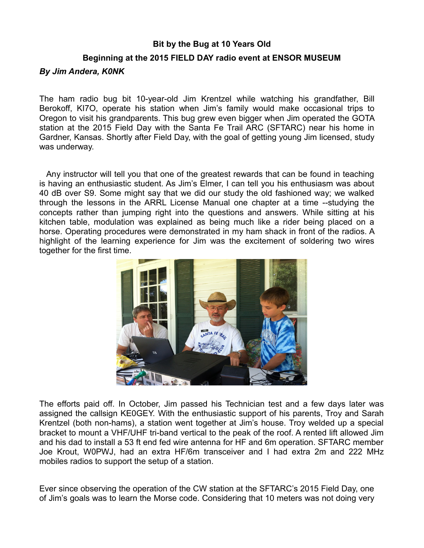## **Bit by the Bug at 10 Years Old**

## **Beginning at the 2015 FIELD DAY radio event at ENSOR MUSEUM**

## *By Jim Andera, K0NK*

The ham radio bug bit 10-year-old Jim Krentzel while watching his grandfather, Bill Berokoff, KI7O, operate his station when Jim's family would make occasional trips to Oregon to visit his grandparents. This bug grew even bigger when Jim operated the GOTA station at the 2015 Field Day with the Santa Fe Trail ARC (SFTARC) near his home in Gardner, Kansas. Shortly after Field Day, with the goal of getting young Jim licensed, study was underway.

 Any instructor will tell you that one of the greatest rewards that can be found in teaching is having an enthusiastic student. As Jim's Elmer, I can tell you his enthusiasm was about 40 dB over S9. Some might say that we did our study the old fashioned way; we walked through the lessons in the ARRL License Manual one chapter at a time --studying the concepts rather than jumping right into the questions and answers. While sitting at his kitchen table, modulation was explained as being much like a rider being placed on a horse. Operating procedures were demonstrated in my ham shack in front of the radios. A highlight of the learning experience for Jim was the excitement of soldering two wires together for the first time.



The efforts paid off. In October, Jim passed his Technician test and a few days later was assigned the callsign KE0GEY. With the enthusiastic support of his parents, Troy and Sarah Krentzel (both non-hams), a station went together at Jim's house. Troy welded up a special bracket to mount a VHF/UHF tri-band vertical to the peak of the roof. A rented lift allowed Jim and his dad to install a 53 ft end fed wire antenna for HF and 6m operation. SFTARC member Joe Krout, W0PWJ, had an extra HF/6m transceiver and I had extra 2m and 222 MHz mobiles radios to support the setup of a station.

Ever since observing the operation of the CW station at the SFTARC's 2015 Field Day, one of Jim's goals was to learn the Morse code. Considering that 10 meters was not doing very